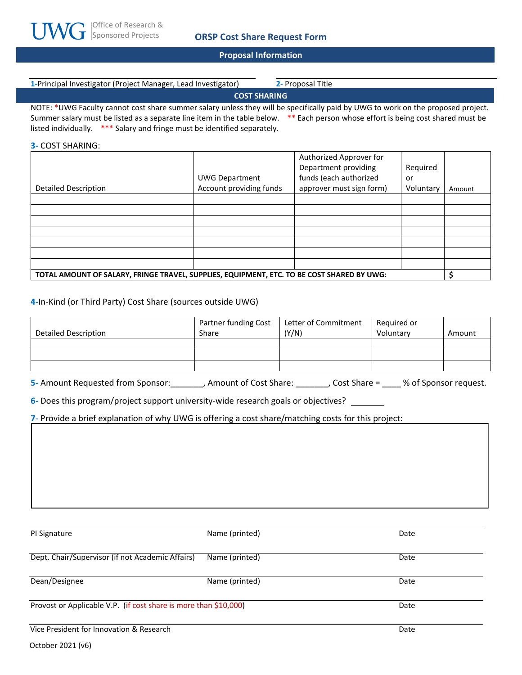

#### **Proposal Information**

| 1-Principal Investigator (Project Manager, Lead Investigator) | 2- Proposal Title |  |  |
|---------------------------------------------------------------|-------------------|--|--|
| <b>COST SHARING</b>                                           |                   |  |  |
|                                                               |                   |  |  |

NOTE: \*UWG Faculty cannot cost share summer salary unless they will be specifically paid by UWG to work on the proposed project. Summer salary must be listed as a separate line item in the table below. \*\* Each person whose effort is being cost shared must be listed individually. \*\*\* Salary and fringe must be identified separately.

### **3-** COST SHARING:

|                                                                                            |                         | Authorized Approver for  |           |        |
|--------------------------------------------------------------------------------------------|-------------------------|--------------------------|-----------|--------|
|                                                                                            |                         | Department providing     | Required  |        |
|                                                                                            | <b>UWG Department</b>   | funds (each authorized   | or        |        |
| <b>Detailed Description</b>                                                                | Account providing funds | approver must sign form) | Voluntary | Amount |
|                                                                                            |                         |                          |           |        |
|                                                                                            |                         |                          |           |        |
|                                                                                            |                         |                          |           |        |
|                                                                                            |                         |                          |           |        |
|                                                                                            |                         |                          |           |        |
|                                                                                            |                         |                          |           |        |
|                                                                                            |                         |                          |           |        |
| TOTAL AMOUNT OF SALARY, FRINGE TRAVEL, SUPPLIES, EQUIPMENT, ETC. TO BE COST SHARED BY UWG: |                         |                          |           |        |

## **4-**In-Kind (or Third Party) Cost Share (sources outside UWG)

|                      | Partner funding Cost | Letter of Commitment | Required or |        |
|----------------------|----------------------|----------------------|-------------|--------|
| Detailed Description | Share                | (Y/N)                | Voluntary   | Amount |
|                      |                      |                      |             |        |
|                      |                      |                      |             |        |
|                      |                      |                      |             |        |

**5-** Amount Requested from Sponsor:\_\_\_\_\_\_\_, Amount of Cost Share: \_\_\_\_\_\_\_, Cost Share = \_\_\_\_ % of Sponsor request.

**6-** Does this program/project support university-wide research goals or objectives?

**7-** Provide a brief explanation of why UWG is offering a cost share/matching costs for this project:

| PI Signature                                                     | Name (printed) | Date |
|------------------------------------------------------------------|----------------|------|
| Dept. Chair/Supervisor (if not Academic Affairs)                 | Name (printed) | Date |
| Dean/Designee                                                    | Name (printed) | Date |
| Provost or Applicable V.P. (if cost share is more than \$10,000) |                | Date |
| Vice President for Innovation & Research                         |                | Date |